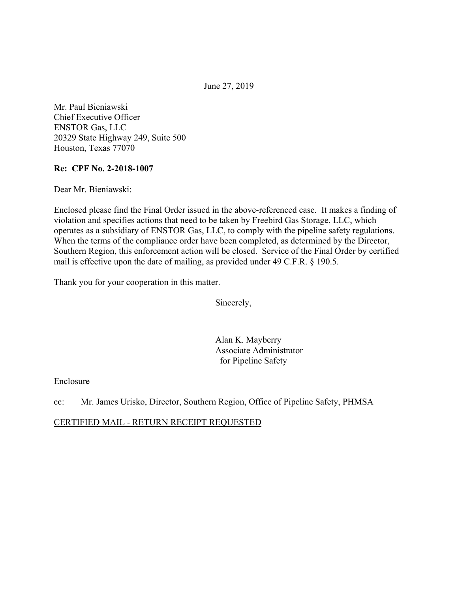June 27, 2019

Mr. Paul Bieniawski Chief Executive Officer ENSTOR Gas, LLC 20329 State Highway 249, Suite 500 Houston, Texas 77070

#### **Re: CPF No. 2-2018-1007**

Dear Mr. Bieniawski:

Enclosed please find the Final Order issued in the above-referenced case. It makes a finding of violation and specifies actions that need to be taken by Freebird Gas Storage, LLC, which operates as a subsidiary of ENSTOR Gas, LLC, to comply with the pipeline safety regulations. When the terms of the compliance order have been completed, as determined by the Director, Southern Region, this enforcement action will be closed. Service of the Final Order by certified mail is effective upon the date of mailing, as provided under 49 C.F.R. § 190.5.

Thank you for your cooperation in this matter.

Sincerely,

Alan K. Mayberry Associate Administrator for Pipeline Safety

Enclosure

cc: Mr. James Urisko, Director, Southern Region, Office of Pipeline Safety, PHMSA

CERTIFIED MAIL - RETURN RECEIPT REQUESTED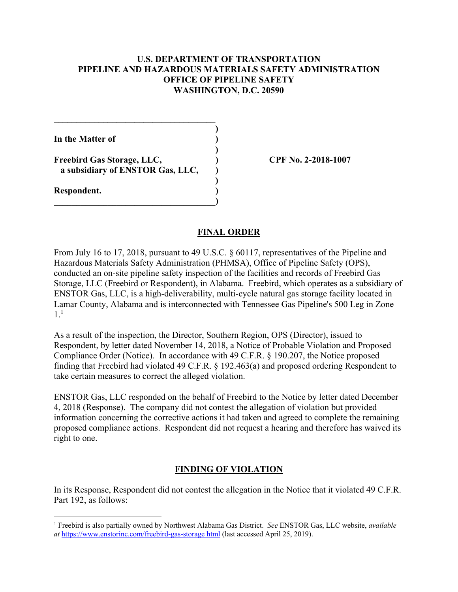## **U.S. DEPARTMENT OF TRANSPORTATION PIPELINE AND HAZARDOUS MATERIALS SAFETY ADMINISTRATION OFFICE OF PIPELINE SAFETY WASHINGTON, D.C. 20590**

**)**

 **)**

 **)**

**In the Matter of )**

Freebird Gas Storage, LLC,  $\qquad \qquad$  (PF No. 2-2018-1007) **a subsidiary of ENSTOR Gas, LLC, )**

 $\overline{\phantom{a}}$ 

**\_\_\_\_\_\_\_\_\_\_\_\_\_\_\_\_\_\_\_\_\_\_\_\_\_\_\_\_\_\_\_\_\_\_\_\_** 

**Respondent. )** 

 $\overline{a}$ 

#### **FINAL ORDER**

From July 16 to 17, 2018, pursuant to 49 U.S.C. § 60117, representatives of the Pipeline and Hazardous Materials Safety Administration (PHMSA), Office of Pipeline Safety (OPS), conducted an on-site pipeline safety inspection of the facilities and records of Freebird Gas Storage, LLC (Freebird or Respondent), in Alabama. Freebird, which operates as a subsidiary of ENSTOR Gas, LLC, is a high-deliverability, multi-cycle natural gas storage facility located in Lamar County, Alabama and is interconnected with Tennessee Gas Pipeline's 500 Leg in Zone 1.1

As a result of the inspection, the Director, Southern Region, OPS (Director), issued to Respondent, by letter dated November 14, 2018, a Notice of Probable Violation and Proposed Compliance Order (Notice). In accordance with 49 C.F.R. § 190.207, the Notice proposed finding that Freebird had violated 49 C.F.R. § 192.463(a) and proposed ordering Respondent to take certain measures to correct the alleged violation.

ENSTOR Gas, LLC responded on the behalf of Freebird to the Notice by letter dated December 4, 2018 (Response). The company did not contest the allegation of violation but provided information concerning the corrective actions it had taken and agreed to complete the remaining proposed compliance actions. Respondent did not request a hearing and therefore has waived its right to one.

#### **FINDING OF VIOLATION**

In its Response, Respondent did not contest the allegation in the Notice that it violated 49 C.F.R. Part 192, as follows:

<sup>1</sup> Freebird is also partially owned by Northwest Alabama Gas District. *See* ENSTOR Gas, LLC website, *available at* <https://www.enstorinc.com/freebird-gas-storage> html (last accessed April 25, 2019).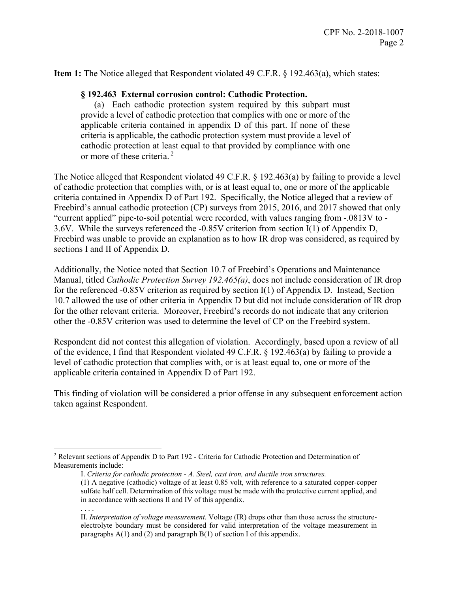**Item 1:** The Notice alleged that Respondent violated 49 C.F.R. § 192.463(a), which states:

## **§ 192.463 External corrosion control: Cathodic Protection.**

(a) Each cathodic protection system required by this subpart must provide a level of cathodic protection that complies with one or more of the applicable criteria contained in appendix D of this part. If none of these criteria is applicable, the cathodic protection system must provide a level of cathodic protection at least equal to that provided by compliance with one or more of these criteria.<sup>2</sup>

The Notice alleged that Respondent violated 49 C.F.R. § 192.463(a) by failing to provide a level of cathodic protection that complies with, or is at least equal to, one or more of the applicable criteria contained in Appendix D of Part 192. Specifically, the Notice alleged that a review of Freebird's annual cathodic protection (CP) surveys from 2015, 2016, and 2017 showed that only "current applied" pipe-to-soil potential were recorded, with values ranging from -.0813V to - 3.6V. While the surveys referenced the -0.85V criterion from section I(1) of Appendix D, Freebird was unable to provide an explanation as to how IR drop was considered, as required by sections I and II of Appendix D.

Additionally, the Notice noted that Section 10.7 of Freebird's Operations and Maintenance Manual, titled *Cathodic Protection Survey 192.465(a)*, does not include consideration of IR drop for the referenced -0.85V criterion as required by section I(1) of Appendix D. Instead, Section 10.7 allowed the use of other criteria in Appendix D but did not include consideration of IR drop for the other relevant criteria. Moreover, Freebird's records do not indicate that any criterion other the -0.85V criterion was used to determine the level of CP on the Freebird system.

Respondent did not contest this allegation of violation. Accordingly, based upon a review of all of the evidence, I find that Respondent violated 49 C.F.R. § 192.463(a) by failing to provide a level of cathodic protection that complies with, or is at least equal to, one or more of the applicable criteria contained in Appendix D of Part 192.

This finding of violation will be considered a prior offense in any subsequent enforcement action taken against Respondent.

 $\overline{a}$ 

<sup>&</sup>lt;sup>2</sup> Relevant sections of Appendix D to Part 192 - Criteria for Cathodic Protection and Determination of Measurements include:

I. *Criteria for cathodic protection - A. Steel, cast iron, and ductile iron structures.* 

 (1) A negative (cathodic) voltage of at least 0.85 volt, with reference to a saturated copper-copper sulfate half cell. Determination of this voltage must be made with the protective current applied, and in accordance with sections II and IV of this appendix.

 . . . .

 electrolyte boundary must be considered for valid interpretation of the voltage measurement in II. *Interpretation of voltage measurement.* Voltage (IR) drops other than those across the structureparagraphs A(1) and (2) and paragraph B(1) of section I of this appendix.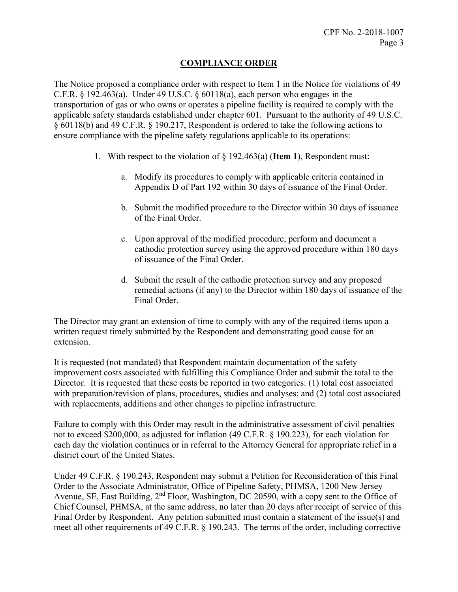# **COMPLIANCE ORDER**

The Notice proposed a compliance order with respect to Item 1 in the Notice for violations of 49 C.F.R.  $\S$  192.463(a). Under 49 U.S.C.  $\S$  60118(a), each person who engages in the transportation of gas or who owns or operates a pipeline facility is required to comply with the applicable safety standards established under chapter 601. Pursuant to the authority of 49 U.S.C. § 60118(b) and 49 C.F.R. § 190.217, Respondent is ordered to take the following actions to ensure compliance with the pipeline safety regulations applicable to its operations:

- 1. With respect to the violation of § 192.463(a) (**Item 1**), Respondent must:
	- a. Modify its procedures to comply with applicable criteria contained in Appendix D of Part 192 within 30 days of issuance of the Final Order.
	- b. Submit the modified procedure to the Director within 30 days of issuance of the Final Order.
	- c. Upon approval of the modified procedure, perform and document a cathodic protection survey using the approved procedure within 180 days of issuance of the Final Order.
	- d. Submit the result of the cathodic protection survey and any proposed remedial actions (if any) to the Director within 180 days of issuance of the Final Order.

The Director may grant an extension of time to comply with any of the required items upon a written request timely submitted by the Respondent and demonstrating good cause for an extension.

It is requested (not mandated) that Respondent maintain documentation of the safety improvement costs associated with fulfilling this Compliance Order and submit the total to the Director. It is requested that these costs be reported in two categories: (1) total cost associated with preparation/revision of plans, procedures, studies and analyses; and (2) total cost associated with replacements, additions and other changes to pipeline infrastructure.

Failure to comply with this Order may result in the administrative assessment of civil penalties not to exceed \$200,000, as adjusted for inflation (49 C.F.R. § 190.223), for each violation for each day the violation continues or in referral to the Attorney General for appropriate relief in a district court of the United States.

Under 49 C.F.R. § 190.243, Respondent may submit a Petition for Reconsideration of this Final Order to the Associate Administrator, Office of Pipeline Safety, PHMSA, 1200 New Jersey Avenue, SE, East Building, 2<sup>nd</sup> Floor, Washington, DC 20590, with a copy sent to the Office of Chief Counsel, PHMSA, at the same address, no later than 20 days after receipt of service of this Final Order by Respondent. Any petition submitted must contain a statement of the issue(s) and meet all other requirements of 49 C.F.R. § 190.243. The terms of the order, including corrective